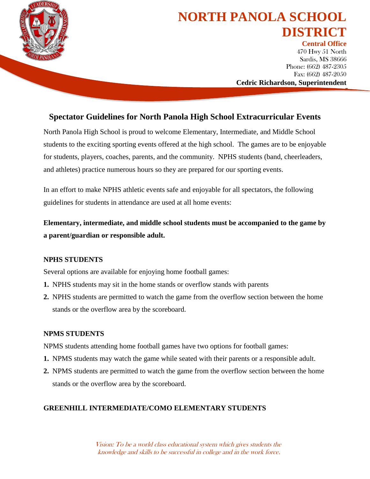

# **NORTH PANOLA SCHOOL DISTRICT**

**Central Office** 470 Hwy 51 North Sardis, MS 38666 Phone: (662) 487-2305 Fax: (662) 487-2050 **Cedric Richardson, Superintendent**

"To Ensure Intellectual and Personal Excellence" (Personal Excellence "Personal Excellence" (Personal Excellence<br>"Personal Excellence" (Personal Excellence "Personal Excellence" (Personal Excellence "Personal Excellence" (

# **Spectator Guidelines for North Panola High School Extracurricular Events**

North Panola High School is proud to welcome Elementary, Intermediate, and Middle School students to the exciting sporting events offered at the high school. The games are to be enjoyable for students, players, coaches, parents, and the community. NPHS students (band, cheerleaders, and athletes) practice numerous hours so they are prepared for our sporting events.

In an effort to make NPHS athletic events safe and enjoyable for all spectators, the following guidelines for students in attendance are used at all home events:

**Elementary, intermediate, and middle school students must be accompanied to the game by a parent/guardian or responsible adult.**

## **NPHS STUDENTS**

Several options are available for enjoying home football games:

- **1.** NPHS students may sit in the home stands or overflow stands with parents
- **2.** NPHS students are permitted to watch the game from the overflow section between the home stands or the overflow area by the scoreboard.

### **NPMS STUDENTS**

NPMS students attending home football games have two options for football games:

- **1.** NPMS students may watch the game while seated with their parents or a responsible adult.
- **2.** NPMS students are permitted to watch the game from the overflow section between the home stands or the overflow area by the scoreboard.

### **GREENHILL INTERMEDIATE/COMO ELEMENTARY STUDENTS**